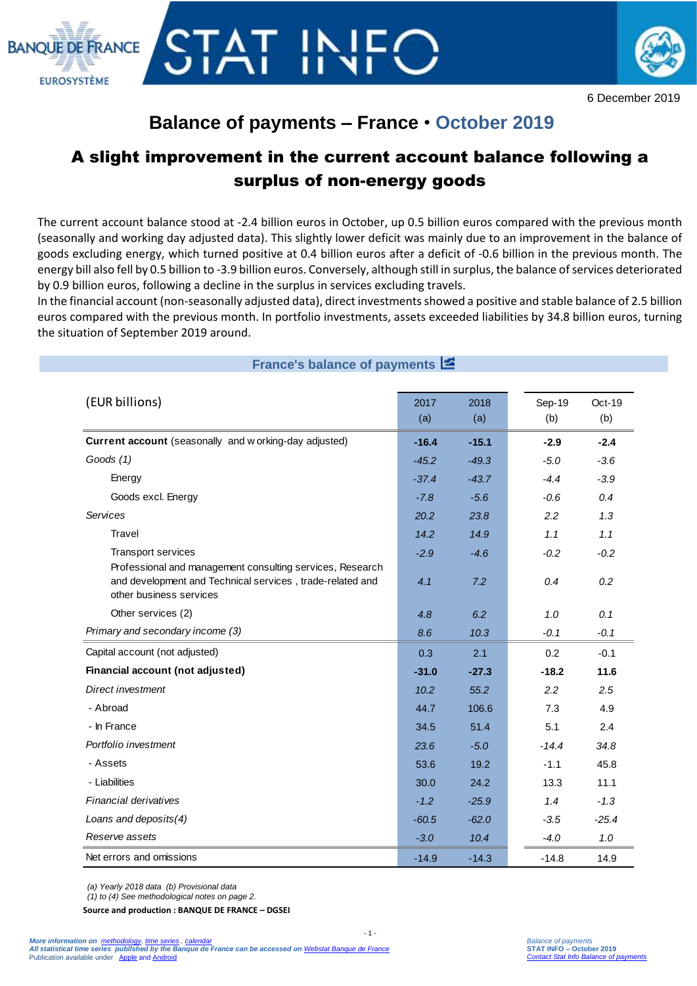



## **Balance of payments – France** • **October 2019**

## A slight improvement in the current account balance following a surplus of non-energy goods

The current account balance stood at -2.4 billion euros in October, up 0.5 billion euros compared with the previous month (seasonally and working day adjusted data). This slightly lower deficit was mainly due to an improvement in the balance of goods excluding energy, which turned positive at 0.4 billion euros after a deficit of -0.6 billion in the previous month. The energy bill also fell by 0.5 billion to -3.9 billion euros. Conversely, although still in surplus, the balance of services deteriorated by 0.9 billion euros, following a decline in the surplus in services excluding travels.

In the financial account (non-seasonally adjusted data), direct investments showed a positive and stable balance of 2.5 billion euros compared with the previous month. In portfolio investments, assets exceeded liabilities by 34.8 billion euros, turning the situation of September 2019 around.

| France's balance of payments E                                                                                                               |               |               |               |               |
|----------------------------------------------------------------------------------------------------------------------------------------------|---------------|---------------|---------------|---------------|
| (EUR billions)                                                                                                                               | 2017<br>(a)   | 2018<br>(a)   | Sep-19<br>(b) | Oct-19<br>(b) |
| Current account (seasonally and working-day adjusted)                                                                                        | $-16.4$       | $-15.1$       | $-2.9$        | $-2.4$        |
| Goods (1)                                                                                                                                    | $-45.2$       | $-49.3$       | $-5.0$        | $-3.6$        |
| Energy                                                                                                                                       | $-37.4$       | $-43.7$       | $-4.4$        | $-3.9$        |
| Goods excl. Energy                                                                                                                           | $-7.8$        | $-5.6$        | $-0.6$        | 0.4           |
| Services                                                                                                                                     | 20.2          | 23.8          | 2.2           | 1.3           |
| <b>Travel</b>                                                                                                                                | 14.2          | 14.9          | 1.1           | 1.1           |
| Transport services<br>Professional and management consulting services, Research<br>and development and Technical services, trade-related and | $-2.9$<br>4.1 | $-4.6$<br>7.2 | $-0.2$<br>0.4 | $-0.2$<br>0.2 |
| other business services                                                                                                                      |               |               |               |               |
| Other services (2)                                                                                                                           | 4.8           | 6.2           | 1.0           | 0.1           |
| Primary and secondary income (3)                                                                                                             | 8.6           | 10.3          | $-0.1$        | $-0.1$        |
| Capital account (not adjusted)                                                                                                               | 0.3           | 2.1           | 0.2           | $-0.1$        |
| Financial account (not adjusted)                                                                                                             | $-31.0$       | $-27.3$       | $-18.2$       | 11.6          |
| Direct investment                                                                                                                            | 10.2          | 55.2          | 2.2           | 2.5           |
| - Abroad                                                                                                                                     | 44.7          | 106.6         | 7.3           | 4.9           |
| - In France                                                                                                                                  | 34.5          | 51.4          | 5.1           | 2.4           |
| Portfolio investment                                                                                                                         | 23.6          | $-5.0$        | $-14.4$       | 34.8          |
| - Assets                                                                                                                                     | 53.6          | 19.2          | $-1.1$        | 45.8          |
| - Liabilities                                                                                                                                | 30.0          | 24.2          | 13.3          | 11.1          |
| Financial derivatives                                                                                                                        | $-1.2$        | $-25.9$       | 1.4           | $-1.3$        |
| Loans and deposits(4)                                                                                                                        | $-60.5$       | $-62.0$       | $-3.5$        | $-25.4$       |
| Reserve assets                                                                                                                               | $-3.0$        | 10.4          | $-4.0$        | $1.0$         |
| Net errors and omissions                                                                                                                     | $-14.9$       | $-14.3$       | $-14.8$       | 14.9          |

- 1 -

*(a) Yearly 2018 data (b) Provisional data*

*(1) to (4) See methodological notes on page 2.*

**Source and production : BANQUE DE FRANCE – DGSEI**